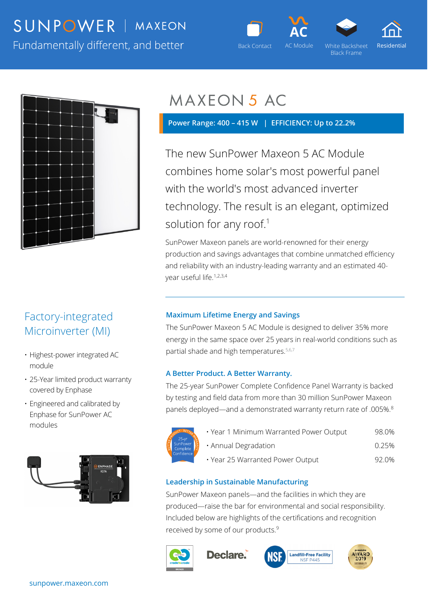# SUNPOWER | MAXEON

Fundamentally different, and better





Black Frame





## Factory-integrated Microinverter (MI)

- Highest-power integrated AC module
- 25-Year limited product warranty covered by Enphase
- Engineered and calibrated by Enphase for SunPower AC modules



# **MAXEON 5 AC**

 **Power Range: 400 – 415 W | EFFICIENCY: Up to 22.2%** 

The new SunPower Maxeon 5 AC Module combines home solar's most powerful panel with the world's most advanced inverter technology. The result is an elegant, optimized solution for any roof.<sup>1</sup>

SunPower Maxeon panels are world-renowned for their energy production and savings advantages that combine unmatched efficiency and reliability with an industry-leading warranty and an estimated 40 year useful life.<sup>1,2,3,4</sup>

### **Maximum Lifetime Energy and Savings**

The SunPower Maxeon 5 AC Module is designed to deliver 35% more energy in the same space over 25 years in real-world conditions such as partial shade and high temperatures.<sup>5,6,7</sup>

### **A Better Product. A Better Warranty.**

The 25-year SunPower Complete Confidence Panel Warranty is backed by testing and field data from more than 30 million SunPower Maxeon panels deployed—and a demonstrated warranty return rate of .005%.8



• Year 1 Minimum Warranted Power Output 98.0% • Annual Degradation **6.25%** • Year 25 Warranted Power Output 92.0%

### **Leadership in Sustainable Manufacturing**

SunPower Maxeon panels—and the facilities in which they are produced—raise the bar for environmental and social responsibility. Included below are highlights of the certifications and recognition received by some of our products.<sup>9</sup>



**Declare**